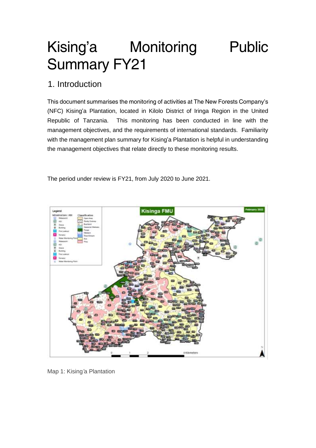# Kising'a Monitoring Public Summary FY21

# 1. Introduction

This document summarises the monitoring of activities at The New Forests Company's (NFC) Kising'a Plantation, located in Kilolo District of Iringa Region in the United Republic of Tanzania. This monitoring has been conducted in line with the management objectives, and the requirements of international standards. Familiarity with the management plan summary for Kising'a Plantation is helpful in understanding the management objectives that relate directly to these monitoring results.

The period under review is FY21, from July 2020 to June 2021.



*Map 1: Kising'a Plantation*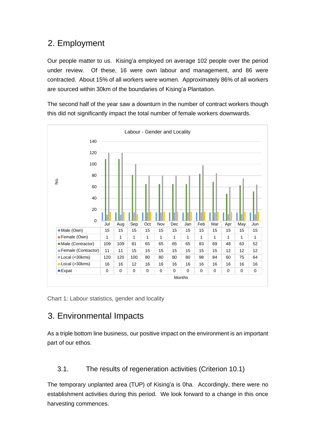# 2. Employment

Our people matter to us. Kising'a employed on average 102 people over the period under review. Of these, 16 were own labour and management, and 86 were contracted. About 15% of all workers were women. Approximately 86% of all workers are sourced within 30km of the boundaries of Kising'a Plantation.

The second half of the year saw a downturn in the number of contract workers though this did not significantly impact the total number of female workers downwards.



*Chart 1: Labour statistics, gender and locality*

# 3. Environmental Impacts

As a triple bottom line business, our positive impact on the environment is an important part of our ethos.

#### 3.1. The results of regeneration activities (Criterion 10.1)

The temporary unplanted area (TUP) of Kising'a is 0ha. Accordingly, there were no establishment activities during this period. We look forward to a change in this once harvesting commences.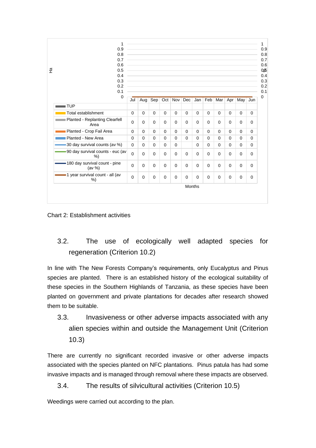| 1<br>0.9                                    |          | the control of the control of the control of the control of the control of the control of the control of the control of the control of the control of the control of the control of the control of the control of the control |          |          |          |          |               |             |          |          |          |          |
|---------------------------------------------|----------|-------------------------------------------------------------------------------------------------------------------------------------------------------------------------------------------------------------------------------|----------|----------|----------|----------|---------------|-------------|----------|----------|----------|----------|
| 0.8                                         |          |                                                                                                                                                                                                                               |          |          |          |          |               |             |          |          |          |          |
| 0.7                                         |          | and the control of the control of the control of the control of the control of the control of the control of the                                                                                                              |          |          |          |          |               |             |          |          |          |          |
| 0.6                                         |          | the control of the control of the control of the control of the control of the control of the control of the control of the control of the control of the control of the control of the control of the control of the control |          |          |          |          |               |             |          |          |          |          |
| 0.5                                         |          | and the control of the control of the control of the control of the control of the control of the control of the                                                                                                              |          |          |          |          |               |             |          |          |          |          |
| 0.4                                         |          | and the control of the control of the control of the control of the control of the control of the control of the                                                                                                              |          |          |          |          |               |             |          |          |          |          |
| 0.3                                         |          |                                                                                                                                                                                                                               |          |          |          |          |               |             |          |          |          |          |
| 0.2                                         |          | and the control of the control of the control of the control of the control of the control of the control of the                                                                                                              |          |          |          |          |               |             |          |          |          |          |
| 0.1                                         |          | the control of the control of the control of the control of the control of the control of the control of the control of the control of the control of the control of the control of the control of the control of the control |          |          |          |          |               |             |          |          |          |          |
| $\mathbf 0$                                 | Jul      |                                                                                                                                                                                                                               | Aug Sep  |          | Oct Nov  | Dec      | Jan           | Feb         | Mar      | Apr      |          |          |
|                                             |          |                                                                                                                                                                                                                               |          |          |          |          |               |             |          |          | May      | Jun      |
| <b>TUP</b>                                  |          |                                                                                                                                                                                                                               |          |          |          |          |               |             |          |          |          |          |
| Total establishment                         | $\Omega$ | $\Omega$                                                                                                                                                                                                                      | $\Omega$ | $\Omega$ | $\Omega$ | $\Omega$ | $\Omega$      | $\Omega$    | $\Omega$ | $\Omega$ | $\Omega$ | $\Omega$ |
| Planted - Replanting Clearfell<br>Area      | $\Omega$ | $\Omega$                                                                                                                                                                                                                      | $\Omega$ | $\Omega$ | $\Omega$ | $\Omega$ | $\Omega$      | $\Omega$    | $\Omega$ | $\Omega$ | $\Omega$ | $\Omega$ |
| Planted - Crop Fail Area                    | $\Omega$ | $\Omega$                                                                                                                                                                                                                      | $\Omega$ | $\Omega$ | $\Omega$ | $\Omega$ | $\Omega$      | $\Omega$    | $\Omega$ | $\Omega$ | $\Omega$ | $\Omega$ |
| Planted - New Area                          | $\Omega$ | $\Omega$                                                                                                                                                                                                                      | $\Omega$ | $\Omega$ | $\Omega$ | $\Omega$ | $\Omega$      | $\Omega$    | $\Omega$ | $\Omega$ | $\Omega$ | $\Omega$ |
| 30 day survival counts (av %)               | $\Omega$ | $\Omega$                                                                                                                                                                                                                      | $\Omega$ | $\Omega$ | $\Omega$ |          | $\Omega$      | $\Omega$    | $\Omega$ | $\Omega$ | $\Omega$ | $\Omega$ |
| -90 day survival counts - euc (av<br>%)     | $\Omega$ | $\Omega$                                                                                                                                                                                                                      | $\Omega$ | $\Omega$ | $\Omega$ | $\Omega$ | $\Omega$      | $\Omega$    | $\Omega$ | $\Omega$ | $\Omega$ | $\Omega$ |
| -180 day survival count - pine<br>(av $%$ ) | $\Omega$ | $\mathbf 0$                                                                                                                                                                                                                   | $\Omega$ | $\Omega$ | $\Omega$ | $\Omega$ | $\Omega$      | $\Omega$    | $\Omega$ | $\Omega$ | $\Omega$ | $\Omega$ |
| -1 year survival count - all (av<br>%       | $\Omega$ | $\mathbf 0$                                                                                                                                                                                                                   | 0        | $\Omega$ | $\Omega$ | $\Omega$ | $\Omega$      | $\mathbf 0$ | $\Omega$ | $\Omega$ | 0        | 0        |
|                                             |          |                                                                                                                                                                                                                               |          |          |          |          | <b>Months</b> |             |          |          |          |          |

*Chart 2: Establishment activities*

3.2. The use of ecologically well adapted species for regeneration (Criterion 10.2)

In line with The New Forests Company's requirements, only *Eucalyptus* and *Pinus* species are planted. There is an established history of the ecological suitability of these species in the Southern Highlands of Tanzania, as these species have been planted on government and private plantations for decades after research showed them to be suitable.

3.3. Invasiveness or other adverse impacts associated with any alien species within and outside the Management Unit (Criterion 10.3)

There are currently no significant recorded invasive or other adverse impacts associated with the species planted on NFC plantations. *Pinus patula* has had some invasive impacts and is managed through removal where these impacts are observed.

3.4. The results of silvicultural activities (Criterion 10.5)

Weedings were carried out according to the plan.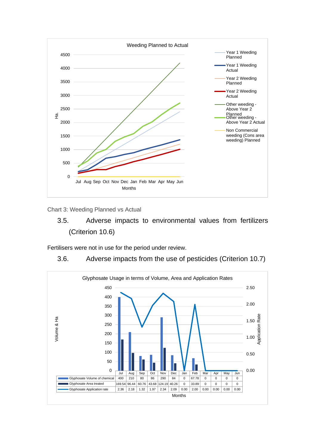

*Chart 3: Weeding Planned vs Actual*

## 3.5. Adverse impacts to environmental values from fertilizers (Criterion 10.6)

Fertilisers were not in use for the period under review.

#### 3.6. Adverse impacts from the use of pesticides (Criterion 10.7)

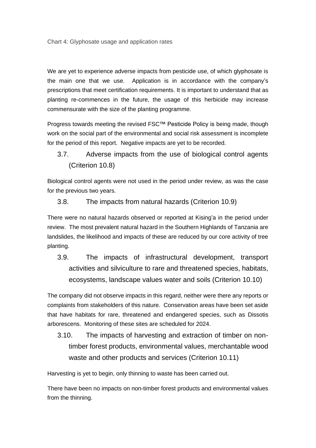*Chart 4: Glyphosate usage and application rates*

We are yet to experience adverse impacts from pesticide use, of which glyphosate is the main one that we use. Application is in accordance with the company's prescriptions that meet certification requirements. It is important to understand that as planting re-commences in the future, the usage of this herbicide may increase commensurate with the size of the planting programme.

Progress towards meeting the revised FSC™ Pesticide Policy is being made, though work on the social part of the environmental and social risk assessment is incomplete for the period of this report. Negative impacts are yet to be recorded.

3.7. Adverse impacts from the use of biological control agents (Criterion 10.8)

Biological control agents were not used in the period under review, as was the case for the previous two years.

3.8. The impacts from natural hazards (Criterion 10.9)

There were no natural hazards observed or reported at Kising'a in the period under review. The most prevalent natural hazard in the Southern Highlands of Tanzania are landslides, the likelihood and impacts of these are reduced by our core activity of tree planting.

3.9. The impacts of infrastructural development, transport activities and silviculture to rare and threatened species, habitats, ecosystems, landscape values water and soils (Criterion 10.10)

The company did not observe impacts in this regard, neither were there any reports or complaints from stakeholders of this nature. Conservation areas have been set aside that have habitats for rare, threatened and endangered species, such as *Dissotis arborescens*. Monitoring of these sites are scheduled for 2024.

3.10. The impacts of harvesting and extraction of timber on nontimber forest products, environmental values, merchantable wood waste and other products and services (Criterion 10.11)

Harvesting is yet to begin, only thinning to waste has been carried out.

There have been no impacts on non-timber forest products and environmental values from the thinning.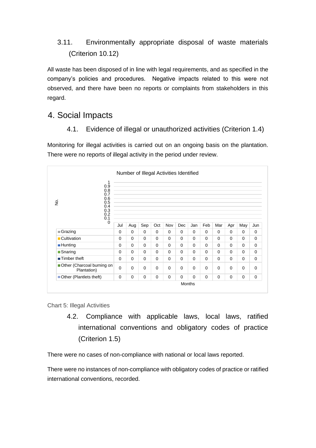#### 3.11. Environmentally appropriate disposal of waste materials (Criterion 10.12)

All waste has been disposed of in line with legal requirements, and as specified in the company's policies and procedures. Negative impacts related to this were not observed, and there have been no reports or complaints from stakeholders in this regard.

## 4. Social Impacts

4.1. Evidence of illegal or unauthorized activities (Criterion 1.4)

Monitoring for illegal activities is carried out on an ongoing basis on the plantation. There were no reports of illegal activity in the period under review.

|                                                                                   | Number of Illegal Activities Identified |                                                                                                                                                                                                                                                                                                                                                                                                                                                                                                                                                                                                                                                                                                                                                                                                                                                                                                                                                                                                                                                                                                                                                                                                                  |          |          |          |          |          |          |          |          |          |          |
|-----------------------------------------------------------------------------------|-----------------------------------------|------------------------------------------------------------------------------------------------------------------------------------------------------------------------------------------------------------------------------------------------------------------------------------------------------------------------------------------------------------------------------------------------------------------------------------------------------------------------------------------------------------------------------------------------------------------------------------------------------------------------------------------------------------------------------------------------------------------------------------------------------------------------------------------------------------------------------------------------------------------------------------------------------------------------------------------------------------------------------------------------------------------------------------------------------------------------------------------------------------------------------------------------------------------------------------------------------------------|----------|----------|----------|----------|----------|----------|----------|----------|----------|----------|
| 1<br>0.9<br>0.8<br>0.7<br>0.6<br>ż<br>0.5<br>0.4<br>0.3<br>0.2<br>0.1<br>$\Omega$ | Jul                                     | the control of the control of the control of the control of the control of the control of the control of the control of the control of the control of the control of the control of the control of the control of the control<br>and the control of the control of the control of the control of the control of the control of the control of th<br><u> 1989 - Johann Stoff, deutscher Stoff, der Stoff, der Stoff, der Stoff, der Stoff, der Stoff, der Stoff, der S</u><br>and the control of the control of the control of the control of the control of the control of the control of the<br><u> 1989 - Johann Sterling, mars and de format en deur de format en deur de format en de format en de format en d</u><br>the control of the control of the control of the control of the control of the control of the control of the control of the control of the control of the control of the control of the control of the control of the control<br><u> 1989 - Johann John Stone, markin sanadi shine a shekara ta 1989 - An tsa a shekara ta 1989 - An tsa a shekara</u><br><u> 1989 - Johann Stoff, deutscher Stoff, der Stoff, der Stoff, der Stoff, der Stoff, der Stoff, der Stoff, der S</u><br>Aug | Sep      | Oct      | Nov      | Dec      | Jan      | Feb      | Mar      | Apr      | May      | Jun      |
| $\blacksquare$ Grazing                                                            | $\Omega$                                | $\Omega$                                                                                                                                                                                                                                                                                                                                                                                                                                                                                                                                                                                                                                                                                                                                                                                                                                                                                                                                                                                                                                                                                                                                                                                                         | $\Omega$ | $\Omega$ | $\Omega$ | $\Omega$ | $\Omega$ | $\Omega$ | $\Omega$ | $\Omega$ | $\Omega$ | $\Omega$ |
| ■ Cultivation                                                                     | $\Omega$                                | $\Omega$                                                                                                                                                                                                                                                                                                                                                                                                                                                                                                                                                                                                                                                                                                                                                                                                                                                                                                                                                                                                                                                                                                                                                                                                         | $\Omega$ | $\Omega$ | $\Omega$ | $\Omega$ | $\Omega$ | $\Omega$ | $\Omega$ | $\Omega$ | $\Omega$ | $\Omega$ |
| $\blacksquare$ Hunting                                                            | $\Omega$                                | $\Omega$                                                                                                                                                                                                                                                                                                                                                                                                                                                                                                                                                                                                                                                                                                                                                                                                                                                                                                                                                                                                                                                                                                                                                                                                         | $\Omega$ | $\Omega$ | $\Omega$ | $\Omega$ | $\Omega$ | $\Omega$ | $\Omega$ | $\Omega$ | $\Omega$ | $\Omega$ |
| $\blacksquare$ Snaring                                                            | $\Omega$                                | $\Omega$                                                                                                                                                                                                                                                                                                                                                                                                                                                                                                                                                                                                                                                                                                                                                                                                                                                                                                                                                                                                                                                                                                                                                                                                         | $\Omega$ | $\Omega$ | $\Omega$ | $\Omega$ | $\Omega$ | $\Omega$ | $\Omega$ | $\Omega$ | $\Omega$ | $\Omega$ |
|                                                                                   | $\Omega$                                | $\Omega$                                                                                                                                                                                                                                                                                                                                                                                                                                                                                                                                                                                                                                                                                                                                                                                                                                                                                                                                                                                                                                                                                                                                                                                                         | $\Omega$ | $\Omega$ | $\Omega$ | $\Omega$ | $\Omega$ | 0        | $\Omega$ | $\Omega$ | $\Omega$ | $\Omega$ |
| $\blacksquare$ Timber theft                                                       |                                         |                                                                                                                                                                                                                                                                                                                                                                                                                                                                                                                                                                                                                                                                                                                                                                                                                                                                                                                                                                                                                                                                                                                                                                                                                  |          |          |          |          |          |          |          |          |          |          |
| Other (Charcoal burning on<br>Plantation)                                         | $\Omega$                                | $\Omega$                                                                                                                                                                                                                                                                                                                                                                                                                                                                                                                                                                                                                                                                                                                                                                                                                                                                                                                                                                                                                                                                                                                                                                                                         | $\Omega$ | $\Omega$ | $\Omega$ | $\Omega$ | $\Omega$ | $\Omega$ | $\Omega$ | $\Omega$ | $\Omega$ | $\Omega$ |

*Chart 5: Illegal Activities*

4.2. Compliance with applicable laws, local laws, ratified international conventions and obligatory codes of practice (Criterion 1.5)

There were no cases of non-compliance with national or local laws reported.

There were no instances of non-compliance with obligatory codes of practice or ratified international conventions, recorded.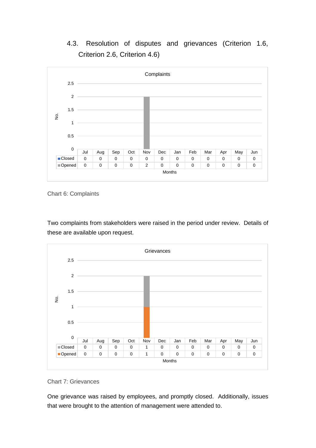## 4.3. Resolution of disputes and grievances (Criterion 1.6, Criterion 2.6, Criterion 4.6)



*Chart 6: Complaints*

Two complaints from stakeholders were raised in the period under review. Details of these are available upon request.



#### *Chart 7: Grievances*

One grievance was raised by employees, and promptly closed. Additionally, issues that were brought to the attention of management were attended to.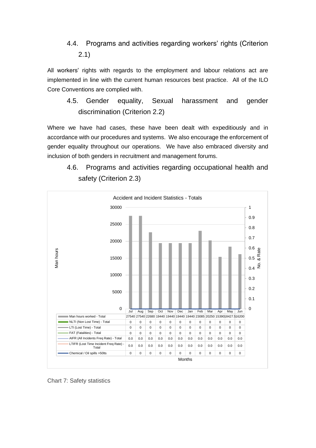### 4.4. Programs and activities regarding workers' rights (Criterion 2.1)

All workers' rights with regards to the employment and labour relations act are implemented in line with the current human resources best practice. All of the ILO Core Conventions are complied with.

4.5. Gender equality, Sexual harassment and gender discrimination (Criterion 2.2)

Where we have had cases, these have been dealt with expeditiously and in accordance with our procedures and systems. We also encourage the enforcement of gender equality throughout our operations. We have also embraced diversity and inclusion of both genders in recruitment and management forums.

4.6. Programs and activities regarding occupational health and safety (Criterion 2.3)



*Chart 7: Safety statistics*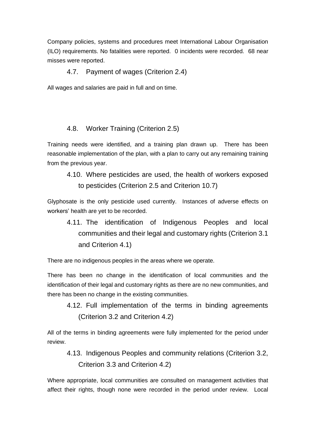Company policies, systems and procedures meet International Labour Organisation (ILO) requirements. No fatalities were reported. 0 incidents were recorded. 68 near misses were reported.

#### 4.7. Payment of wages (Criterion 2.4)

All wages and salaries are paid in full and on time.

#### 4.8. Worker Training (Criterion 2.5)

Training needs were identified, and a training plan drawn up. There has been reasonable implementation of the plan, with a plan to carry out any remaining training from the previous year.

4.10. Where pesticides are used, the health of workers exposed to pesticides (Criterion 2.5 and Criterion 10.7)

Glyphosate is the only pesticide used currently. Instances of adverse effects on workers' health are yet to be recorded.

4.11. The identification of Indigenous Peoples and local communities and their legal and customary rights (Criterion 3.1 and Criterion 4.1)

There are no indigenous peoples in the areas where we operate.

There has been no change in the identification of local communities and the identification of their legal and customary rights as there are no new communities, and there has been no change in the existing communities.

4.12. Full implementation of the terms in binding agreements (Criterion 3.2 and Criterion 4.2)

All of the terms in binding agreements were fully implemented for the period under review.

4.13. Indigenous Peoples and community relations (Criterion 3.2, Criterion 3.3 and Criterion 4.2)

Where appropriate, local communities are consulted on management activities that affect their rights, though none were recorded in the period under review. Local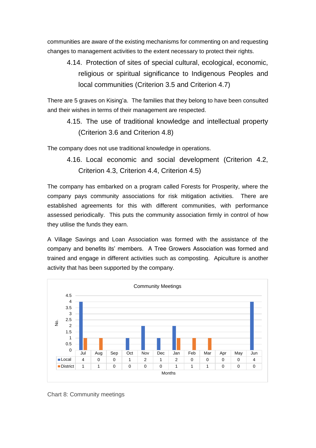communities are aware of the existing mechanisms for commenting on and requesting changes to management activities to the extent necessary to protect their rights.

4.14. Protection of sites of special cultural, ecological, economic, religious or spiritual significance to Indigenous Peoples and local communities (Criterion 3.5 and Criterion 4.7)

There are 5 graves on Kising'a. The families that they belong to have been consulted and their wishes in terms of their management are respected.

4.15. The use of traditional knowledge and intellectual property (Criterion 3.6 and Criterion 4.8)

The company does not use traditional knowledge in operations.

4.16. Local economic and social development (Criterion 4.2, Criterion 4.3, Criterion 4.4, Criterion 4.5)

The company has embarked on a program called Forests for Prosperity, where the company pays community associations for risk mitigation activities. There are established agreements for this with different communities, with performance assessed periodically. This puts the community association firmly in control of how they utilise the funds they earn.

A Village Savings and Loan Association was formed with the assistance of the company and benefits its' members. A Tree Growers Association was formed and trained and engage in different activities such as composting. Apiculture is another activity that has been supported by the company.



*Chart 8: Community meetings*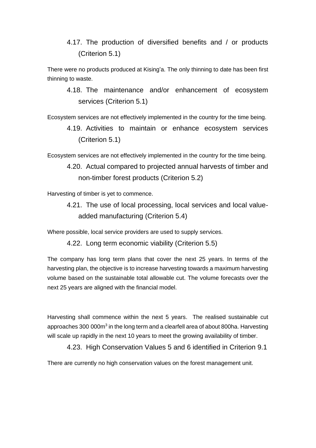4.17. The production of diversified benefits and / or products (Criterion 5.1)

There were no products produced at Kising'a. The only thinning to date has been first thinning to waste.

4.18. The maintenance and/or enhancement of ecosystem services (Criterion 5.1)

Ecosystem services are not effectively implemented in the country for the time being.

4.19. Activities to maintain or enhance ecosystem services (Criterion 5.1)

Ecosystem services are not effectively implemented in the country for the time being.

4.20. Actual compared to projected annual harvests of timber and non-timber forest products (Criterion 5.2)

Harvesting of timber is yet to commence.

4.21. The use of local processing, local services and local valueadded manufacturing (Criterion 5.4)

Where possible, local service providers are used to supply services.

4.22. Long term economic viability (Criterion 5.5)

The company has long term plans that cover the next 25 years. In terms of the harvesting plan, the objective is to increase harvesting towards a maximum harvesting volume based on the sustainable total allowable cut. The volume forecasts over the next 25 years are aligned with the financial model.

Harvesting shall commence within the next 5 years. The realised sustainable cut approaches 300 000m<sup>3</sup> in the long term and a clearfell area of about 800ha. Harvesting will scale up rapidly in the next 10 years to meet the growing availability of timber.

4.23. High Conservation Values 5 and 6 identified in Criterion 9.1

There are currently no high conservation values on the forest management unit.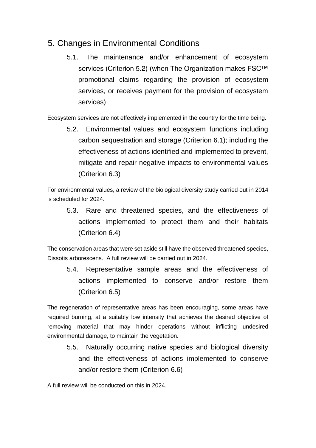## 5. Changes in Environmental Conditions

5.1. The maintenance and/or enhancement of ecosystem services (Criterion 5.2) (when The Organization makes FSC<sup>™</sup> promotional claims regarding the provision of ecosystem services, or receives payment for the provision of ecosystem services)

Ecosystem services are not effectively implemented in the country for the time being.

5.2. Environmental values and ecosystem functions including carbon sequestration and storage (Criterion 6.1); including the effectiveness of actions identified and implemented to prevent, mitigate and repair negative impacts to environmental values (Criterion 6.3)

For environmental values, a review of the biological diversity study carried out in 2014 is scheduled for 2024.

5.3. Rare and threatened species, and the effectiveness of actions implemented to protect them and their habitats (Criterion 6.4)

The conservation areas that were set aside still have the observed threatened species, *Dissotis arborescens*. A full review will be carried out in 2024.

5.4. Representative sample areas and the effectiveness of actions implemented to conserve and/or restore them (Criterion 6.5)

The regeneration of representative areas has been encouraging, some areas have required burning, at a suitably low intensity that achieves the desired objective of removing material that may hinder operations without inflicting undesired environmental damage, to maintain the vegetation.

5.5. Naturally occurring native species and biological diversity and the effectiveness of actions implemented to conserve and/or restore them (Criterion 6.6)

A full review will be conducted on this in 2024.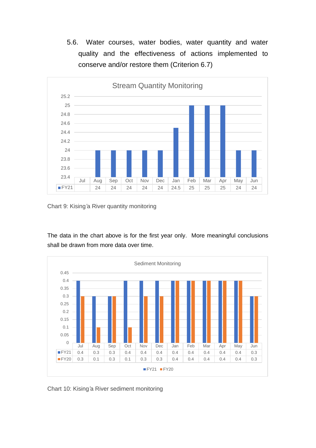5.6. Water courses, water bodies, water quantity and water quality and the effectiveness of actions implemented to conserve and/or restore them (Criterion 6.7)



*Chart 9: Kising'a River quantity monitoring*

The data in the chart above is for the first year only. More meaningful conclusions shall be drawn from more data over time.



*Chart 10: Kising'a River sediment monitoring*